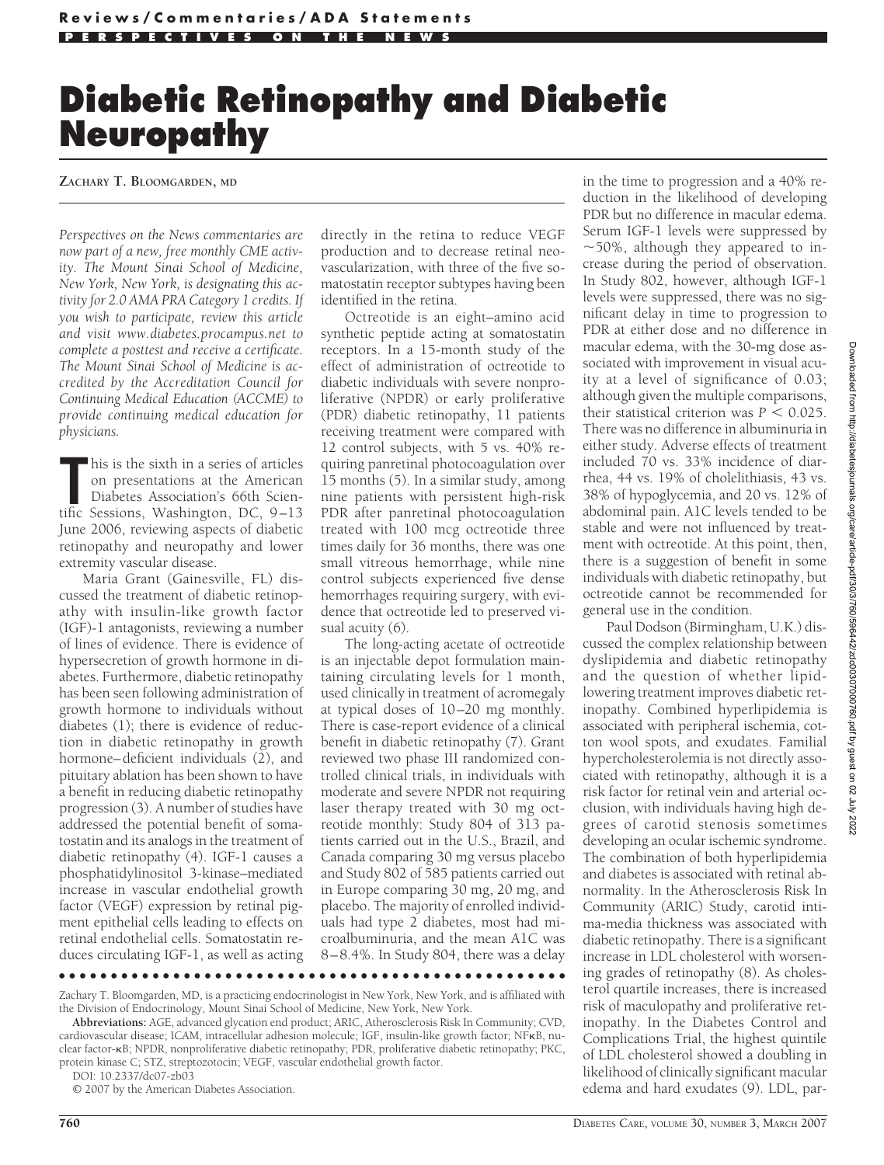# **Diabetic Retinopathy and Diabetic Neuropathy**

#### **ZACHARY T. BLOOMGARDEN, MD**

*Perspectives on the News commentaries are now part of a new, free monthly CME activity. The Mount Sinai School of Medicine, New York, New York, is designating this activity for 2.0 AMA PRA Category 1 credits. If you wish to participate, review this article and visit www.diabetes.procampus.net to complete a posttest and receive a certificate. The Mount Sinai School of Medicine is accredited by the Accreditation Council for Continuing Medical Education (ACCME) to provide continuing medical education for physicians.*

In this is the sixth in a series of articles<br>
on presentations at the American<br>
Diabetes Association's 66th Scien-<br>
tific Sessions, Washington, DC, 9–13 his is the sixth in a series of articles on presentations at the American Diabetes Association's 66th Scien-June 2006, reviewing aspects of diabetic retinopathy and neuropathy and lower extremity vascular disease.

Maria Grant (Gainesville, FL) discussed the treatment of diabetic retinopathy with insulin-like growth factor (IGF)-1 antagonists, reviewing a number of lines of evidence. There is evidence of hypersecretion of growth hormone in diabetes. Furthermore, diabetic retinopathy has been seen following administration of growth hormone to individuals without diabetes (1); there is evidence of reduction in diabetic retinopathy in growth hormone–deficient individuals (2), and pituitary ablation has been shown to have a benefit in reducing diabetic retinopathy progression (3). A number of studies have addressed the potential benefit of somatostatin and its analogs in the treatment of diabetic retinopathy (4). IGF-1 causes a phosphatidylinositol 3-kinase–mediated increase in vascular endothelial growth factor (VEGF) expression by retinal pigment epithelial cells leading to effects on retinal endothelial cells. Somatostatin reduces circulating IGF-1, as well as acting

directly in the retina to reduce VEGF production and to decrease retinal neovascularization, with three of the five somatostatin receptor subtypes having been identified in the retina.

Octreotide is an eight–amino acid synthetic peptide acting at somatostatin receptors. In a 15-month study of the effect of administration of octreotide to diabetic individuals with severe nonproliferative (NPDR) or early proliferative (PDR) diabetic retinopathy, 11 patients receiving treatment were compared with 12 control subjects, with 5 vs. 40% requiring panretinal photocoagulation over 15 months (5). In a similar study, among nine patients with persistent high-risk PDR after panretinal photocoagulation treated with 100 mcg octreotide three times daily for 36 months, there was one small vitreous hemorrhage, while nine control subjects experienced five dense hemorrhages requiring surgery, with evidence that octreotide led to preserved visual acuity (6).

The long-acting acetate of octreotide is an injectable depot formulation maintaining circulating levels for 1 month, used clinically in treatment of acromegaly at typical doses of 10–20 mg monthly. There is case-report evidence of a clinical benefit in diabetic retinopathy (7). Grant reviewed two phase III randomized controlled clinical trials, in individuals with moderate and severe NPDR not requiring laser therapy treated with 30 mg octreotide monthly: Study 804 of 313 patients carried out in the U.S., Brazil, and Canada comparing 30 mg versus placebo and Study 802 of 585 patients carried out in Europe comparing 30 mg, 20 mg, and placebo. The majority of enrolled individuals had type 2 diabetes, most had microalbuminuria, and the mean A1C was 8–8.4%. In Study 804, there was a delay

Zachary T. Bloomgarden, MD, is a practicing endocrinologist in New York, New York, and is affiliated with the Division of Endocrinology, Mount Sinai School of Medicine, New York, New York.

●●●●●●●●●●●●●●●●●●●●●●●●●●●●●●●●●●●●●●●●●●●●●●●●●

**Abbreviations:** AGE, advanced glycation end product; ARIC, Atherosclerosis Risk In Community; CVD, cardiovascular disease; ICAM, intracellular adhesion molecule; IGF, insulin-like growth factor; NFKB, nuclear factor-B; NPDR, nonproliferative diabetic retinopathy; PDR, proliferative diabetic retinopathy; PKC, protein kinase C; STZ, streptozotocin; VEGF, vascular endothelial growth factor.

DOI: 10.2337/dc07-zb03

© 2007 by the American Diabetes Association.

 $\sim$  50%, although they appeared to increase during the period of observation. In Study 802, however, although IGF-1 levels were suppressed, there was no significant delay in time to progression to PDR at either dose and no difference in macular edema, with the 30-mg dose associated with improvement in visual acuity at a level of significance of 0.03; although given the multiple comparisons, their statistical criterion was  $P < 0.025$ . There was no difference in albuminuria in either study. Adverse effects of treatment included 70 vs. 33% incidence of diarrhea, 44 vs. 19% of cholelithiasis, 43 vs. 38% of hypoglycemia, and 20 vs. 12% of abdominal pain. A1C levels tended to be stable and were not influenced by treatment with octreotide. At this point, then, there is a suggestion of benefit in some individuals with diabetic retinopathy, but octreotide cannot be recommended for general use in the condition.

in the time to progression and a 40% reduction in the likelihood of developing PDR but no difference in macular edema. Serum IGF-1 levels were suppressed by

Paul Dodson (Birmingham, U.K.) discussed the complex relationship between dyslipidemia and diabetic retinopathy and the question of whether lipidlowering treatment improves diabetic retinopathy. Combined hyperlipidemia is associated with peripheral ischemia, cotton wool spots, and exudates. Familial hypercholesterolemia is not directly associated with retinopathy, although it is a risk factor for retinal vein and arterial occlusion, with individuals having high degrees of carotid stenosis sometimes developing an ocular ischemic syndrome. The combination of both hyperlipidemia and diabetes is associated with retinal abnormality. In the Atherosclerosis Risk In Community (ARIC) Study, carotid intima-media thickness was associated with diabetic retinopathy. There is a significant increase in LDL cholesterol with worsening grades of retinopathy (8). As cholesterol quartile increases, there is increased risk of maculopathy and proliferative retinopathy. In the Diabetes Control and Complications Trial, the highest quintile of LDL cholesterol showed a doubling in likelihood of clinically significant macular edema and hard exudates (9). LDL, par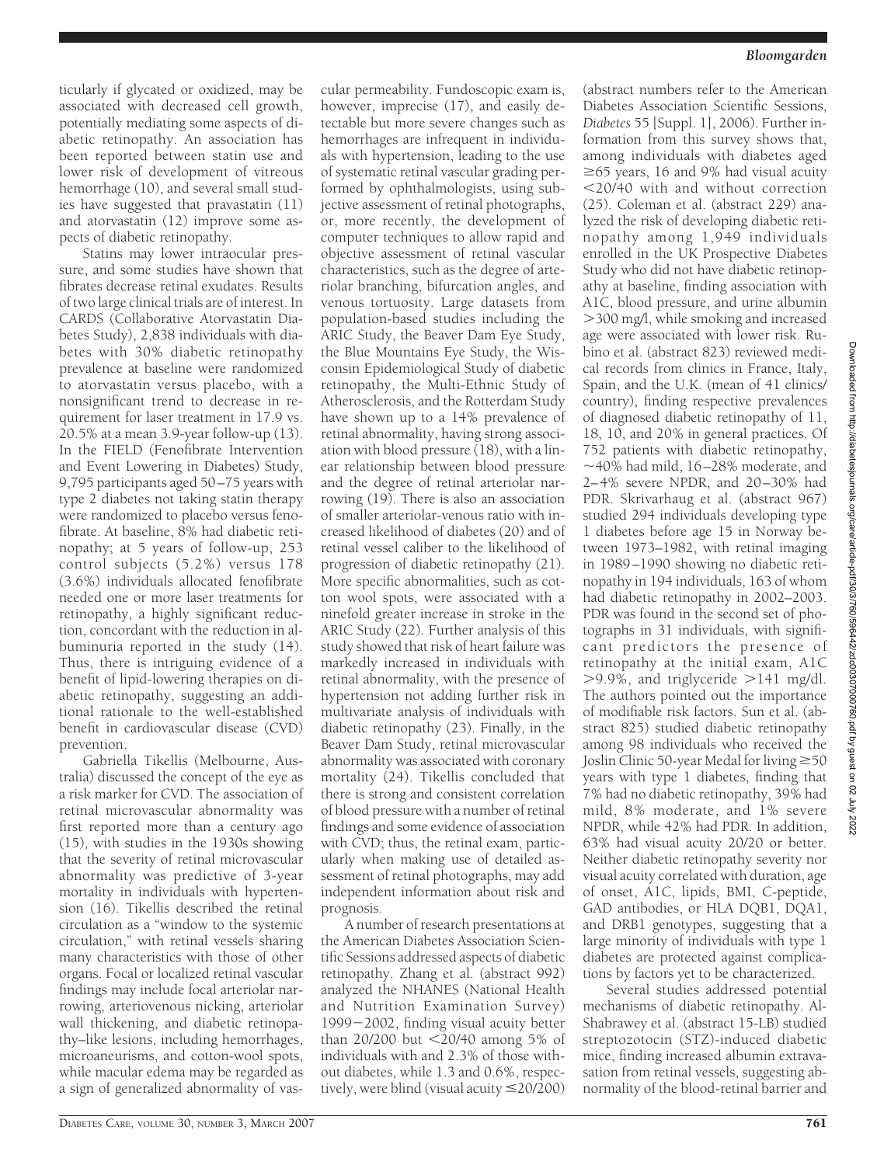ticularly if glycated or oxidized, may be associated with decreased cell growth, potentially mediating some aspects of diabetic retinopathy. An association has been reported between statin use and lower risk of development of vitreous hemorrhage (10), and several small studies have suggested that pravastatin (11) and atorvastatin (12) improve some aspects of diabetic retinopathy.

Statins may lower intraocular pressure, and some studies have shown that fibrates decrease retinal exudates. Results of two large clinical trials are of interest. In CARDS (Collaborative Atorvastatin Diabetes Study), 2,838 individuals with diabetes with 30% diabetic retinopathy prevalence at baseline were randomized to atorvastatin versus placebo, with a nonsignificant trend to decrease in requirement for laser treatment in 17.9 vs. 20.5% at a mean 3.9-year follow-up (13). In the FIELD (Fenofibrate Intervention and Event Lowering in Diabetes) Study, 9,795 participants aged 50–75 years with type 2 diabetes not taking statin therapy were randomized to placebo versus fenofibrate. At baseline, 8% had diabetic retinopathy; at 5 years of follow-up, 253 control subjects (5.2%) versus 178 (3.6%) individuals allocated fenofibrate needed one or more laser treatments for retinopathy, a highly significant reduction, concordant with the reduction in albuminuria reported in the study (14). Thus, there is intriguing evidence of a benefit of lipid-lowering therapies on diabetic retinopathy, suggesting an additional rationale to the well-established benefit in cardiovascular disease (CVD) prevention.

Gabriella Tikellis (Melbourne, Australia) discussed the concept of the eye as a risk marker for CVD. The association of retinal microvascular abnormality was first reported more than a century ago (15), with studies in the 1930s showing that the severity of retinal microvascular abnormality was predictive of 3-year mortality in individuals with hypertension (16). Tikellis described the retinal circulation as a "window to the systemic circulation," with retinal vessels sharing many characteristics with those of other organs. Focal or localized retinal vascular findings may include focal arteriolar narrowing, arteriovenous nicking, arteriolar wall thickening, and diabetic retinopathy–like lesions, including hemorrhages, microaneurisms, and cotton-wool spots, while macular edema may be regarded as a sign of generalized abnormality of vas-

cular permeability. Fundoscopic exam is, however, imprecise (17), and easily detectable but more severe changes such as hemorrhages are infrequent in individuals with hypertension, leading to the use of systematic retinal vascular grading performed by ophthalmologists, using subjective assessment of retinal photographs, or, more recently, the development of computer techniques to allow rapid and objective assessment of retinal vascular characteristics, such as the degree of arteriolar branching, bifurcation angles, and venous tortuosity. Large datasets from population-based studies including the ARIC Study, the Beaver Dam Eye Study, the Blue Mountains Eye Study, the Wisconsin Epidemiological Study of diabetic retinopathy, the Multi-Ethnic Study of Atherosclerosis, and the Rotterdam Study have shown up to a 14% prevalence of retinal abnormality, having strong association with blood pressure (18), with a linear relationship between blood pressure and the degree of retinal arteriolar narrowing (19). There is also an association of smaller arteriolar-venous ratio with increased likelihood of diabetes (20) and of retinal vessel caliber to the likelihood of progression of diabetic retinopathy (21). More specific abnormalities, such as cotton wool spots, were associated with a ninefold greater increase in stroke in the ARIC Study (22). Further analysis of this study showed that risk of heart failure was markedly increased in individuals with retinal abnormality, with the presence of hypertension not adding further risk in multivariate analysis of individuals with diabetic retinopathy (23). Finally, in the Beaver Dam Study, retinal microvascular abnormality was associated with coronary mortality (24). Tikellis concluded that there is strong and consistent correlation of blood pressure with a number of retinal findings and some evidence of association with CVD; thus, the retinal exam, particularly when making use of detailed assessment of retinal photographs, may add independent information about risk and prognosis.

A number of research presentations at the American Diabetes Association Scientific Sessions addressed aspects of diabetic retinopathy. Zhang et al. (abstract 992) analyzed the NHANES (National Health and Nutrition Examination Survey) 1999-2002, finding visual acuity better than 20/200 but <20/40 among 5% of individuals with and 2.3% of those without diabetes, while 1.3 and 0.6%, respectively, were blind (visual acuity  $\leq$ 20/200)

(abstract numbers refer to the American Diabetes Association Scientific Sessions, *Diabetes* 55 [Suppl. 1], 2006). Further information from this survey shows that, among individuals with diabetes aged -65 years, 16 and 9% had visual acuity -20/40 with and without correction (25). Coleman et al. (abstract 229) analyzed the risk of developing diabetic retinopathy among 1,949 individuals enrolled in the UK Prospective Diabetes Study who did not have diabetic retinopathy at baseline, finding association with A1C, blood pressure, and urine albumin 300 mg/l, while smoking and increased age were associated with lower risk. Rubino et al. (abstract 823) reviewed medical records from clinics in France, Italy, Spain, and the U.K. (mean of 41 clinics/ country), finding respective prevalences of diagnosed diabetic retinopathy of 11, 18, 10, and 20% in general practices. Of 752 patients with diabetic retinopathy,  $\sim$ 40% had mild, 16–28% moderate, and 2–4% severe NPDR, and 20–30% had PDR. Skrivarhaug et al. (abstract 967) studied 294 individuals developing type 1 diabetes before age 15 in Norway between 1973–1982, with retinal imaging in 1989–1990 showing no diabetic retinopathy in 194 individuals, 163 of whom had diabetic retinopathy in 2002–2003. PDR was found in the second set of photographs in 31 individuals, with significant predictors the presence of retinopathy at the initial exam, A1C  $>$ 9.9%, and triglyceride  $>$ 141 mg/dl. The authors pointed out the importance of modifiable risk factors. Sun et al. (abstract 825) studied diabetic retinopathy among 98 individuals who received the Joslin Clinic 50-year Medal for living  $\geq$ 50 years with type 1 diabetes, finding that 7% had no diabetic retinopathy, 39% had mild, 8% moderate, and 1% severe NPDR, while 42% had PDR. In addition, 63% had visual acuity 20/20 or better. Neither diabetic retinopathy severity nor visual acuity correlated with duration, age of onset, A1C, lipids, BMI, C-peptide, GAD antibodies, or HLA DQB1, DQA1, and DRB1 genotypes, suggesting that a large minority of individuals with type 1 diabetes are protected against complications by factors yet to be characterized.

Several studies addressed potential mechanisms of diabetic retinopathy. Al-Shabrawey et al. (abstract 15-LB) studied streptozotocin (STZ)-induced diabetic mice, finding increased albumin extravasation from retinal vessels, suggesting abnormality of the blood-retinal barrier and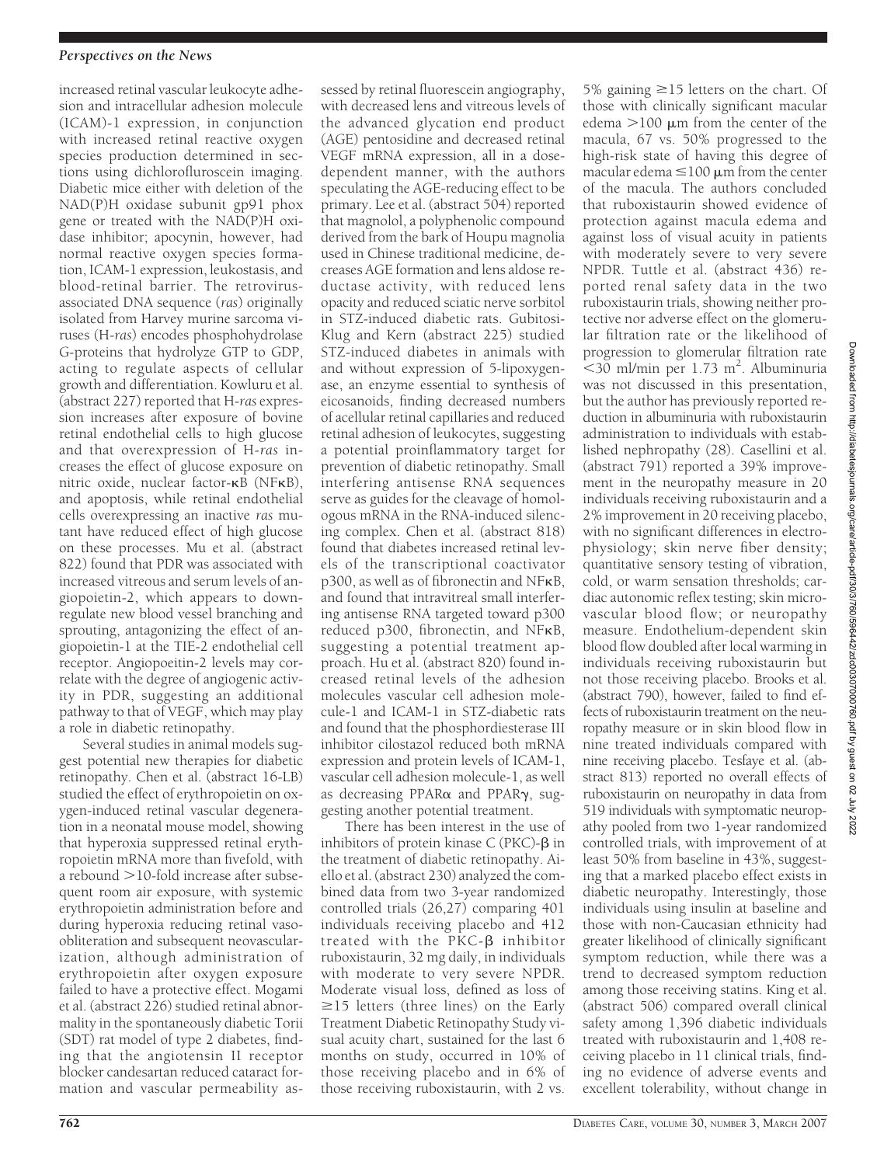# *Perspectives on the News*

increased retinal vascular leukocyte adhesion and intracellular adhesion molecule (ICAM)-1 expression, in conjunction with increased retinal reactive oxygen species production determined in sections using dichlorofluroscein imaging. Diabetic mice either with deletion of the NAD(P)H oxidase subunit gp91 phox gene or treated with the NAD(P)H oxidase inhibitor; apocynin, however, had normal reactive oxygen species formation, ICAM-1 expression, leukostasis, and blood-retinal barrier. The retrovirusassociated DNA sequence (*ras*) originally isolated from Harvey murine sarcoma viruses (H-*ras*) encodes phosphohydrolase G-proteins that hydrolyze GTP to GDP, acting to regulate aspects of cellular growth and differentiation. Kowluru et al. (abstract 227) reported that H-*ras* expression increases after exposure of bovine retinal endothelial cells to high glucose and that overexpression of H-*ras* increases the effect of glucose exposure on nitric oxide, nuclear factor- $\kappa$ B (NF $\kappa$ B), and apoptosis, while retinal endothelial cells overexpressing an inactive *ras* mutant have reduced effect of high glucose on these processes. Mu et al. (abstract 822) found that PDR was associated with increased vitreous and serum levels of angiopoietin-2, which appears to downregulate new blood vessel branching and sprouting, antagonizing the effect of angiopoietin-1 at the TIE-2 endothelial cell receptor. Angiopoeitin-2 levels may correlate with the degree of angiogenic activity in PDR, suggesting an additional pathway to that of VEGF, which may play a role in diabetic retinopathy.

Several studies in animal models suggest potential new therapies for diabetic retinopathy. Chen et al. (abstract 16-LB) studied the effect of erythropoietin on oxygen-induced retinal vascular degeneration in a neonatal mouse model, showing that hyperoxia suppressed retinal erythropoietin mRNA more than fivefold, with a rebound  $>$  10-fold increase after subsequent room air exposure, with systemic erythropoietin administration before and during hyperoxia reducing retinal vasoobliteration and subsequent neovascularization, although administration of erythropoietin after oxygen exposure failed to have a protective effect. Mogami et al. (abstract 226) studied retinal abnormality in the spontaneously diabetic Torii (SDT) rat model of type 2 diabetes, finding that the angiotensin II receptor blocker candesartan reduced cataract formation and vascular permeability as-

sessed by retinal fluorescein angiography, with decreased lens and vitreous levels of the advanced glycation end product (AGE) pentosidine and decreased retinal VEGF mRNA expression, all in a dosedependent manner, with the authors speculating the AGE-reducing effect to be primary. Lee et al. (abstract 504) reported that magnolol, a polyphenolic compound derived from the bark of Houpu magnolia used in Chinese traditional medicine, decreases AGE formation and lens aldose reductase activity, with reduced lens opacity and reduced sciatic nerve sorbitol in STZ-induced diabetic rats. Gubitosi-Klug and Kern (abstract 225) studied STZ-induced diabetes in animals with and without expression of 5-lipoxygenase, an enzyme essential to synthesis of eicosanoids, finding decreased numbers of acellular retinal capillaries and reduced retinal adhesion of leukocytes, suggesting a potential proinflammatory target for prevention of diabetic retinopathy. Small interfering antisense RNA sequences serve as guides for the cleavage of homologous mRNA in the RNA-induced silencing complex. Chen et al. (abstract 818) found that diabetes increased retinal levels of the transcriptional coactivator p300, as well as of fibronectin and NFB, and found that intravitreal small interfering antisense RNA targeted toward p300 reduced p300, fibronectin, and NFKB, suggesting a potential treatment approach. Hu et al. (abstract 820) found increased retinal levels of the adhesion molecules vascular cell adhesion molecule-1 and ICAM-1 in STZ-diabetic rats and found that the phosphordiesterase III inhibitor cilostazol reduced both mRNA expression and protein levels of ICAM-1, vascular cell adhesion molecule-1, as well as decreasing PPAR $\alpha$  and PPAR $\gamma$ , suggesting another potential treatment.

There has been interest in the use of inhibitors of protein kinase  $C$  (PKC)- $\beta$  in the treatment of diabetic retinopathy. Aiello et al. (abstract 230) analyzed the combined data from two 3-year randomized controlled trials (26,27) comparing 401 individuals receiving placebo and 412 treated with the  $PKC- $\beta$  inhibitor$ ruboxistaurin, 32 mg daily, in individuals with moderate to very severe NPDR. Moderate visual loss, defined as loss of  $\geq$ 15 letters (three lines) on the Early Treatment Diabetic Retinopathy Study visual acuity chart, sustained for the last 6 months on study, occurred in 10% of those receiving placebo and in 6% of those receiving ruboxistaurin, with 2 vs.

edema  $>100 \mu m$  from the center of the macula, 67 vs. 50% progressed to the high-risk state of having this degree of macular edema  $\leq$  100  $\mu$ m from the center of the macula. The authors concluded that ruboxistaurin showed evidence of protection against macula edema and against loss of visual acuity in patients with moderately severe to very severe NPDR. Tuttle et al. (abstract 436) reported renal safety data in the two ruboxistaurin trials, showing neither protective nor adverse effect on the glomerular filtration rate or the likelihood of progression to glomerular filtration rate -30 ml/min per 1.73 m2 . Albuminuria was not discussed in this presentation, but the author has previously reported reduction in albuminuria with ruboxistaurin administration to individuals with established nephropathy (28). Casellini et al. (abstract 791) reported a 39% improvement in the neuropathy measure in 20 individuals receiving ruboxistaurin and a 2% improvement in 20 receiving placebo, with no significant differences in electrophysiology; skin nerve fiber density; quantitative sensory testing of vibration, cold, or warm sensation thresholds; cardiac autonomic reflex testing; skin microvascular blood flow; or neuropathy measure. Endothelium-dependent skin blood flow doubled after local warming in individuals receiving ruboxistaurin but not those receiving placebo. Brooks et al. (abstract 790), however, failed to find effects of ruboxistaurin treatment on the neuropathy measure or in skin blood flow in nine treated individuals compared with nine receiving placebo. Tesfaye et al. (abstract 813) reported no overall effects of ruboxistaurin on neuropathy in data from 519 individuals with symptomatic neuropathy pooled from two 1-year randomized controlled trials, with improvement of at least 50% from baseline in 43%, suggesting that a marked placebo effect exists in diabetic neuropathy. Interestingly, those individuals using insulin at baseline and those with non-Caucasian ethnicity had greater likelihood of clinically significant symptom reduction, while there was a trend to decreased symptom reduction among those receiving statins. King et al. (abstract 506) compared overall clinical safety among 1,396 diabetic individuals treated with ruboxistaurin and 1,408 receiving placebo in 11 clinical trials, finding no evidence of adverse events and

5% gaining  $\geq$ 15 letters on the chart. Of those with clinically significant macular

excellent tolerability, without change in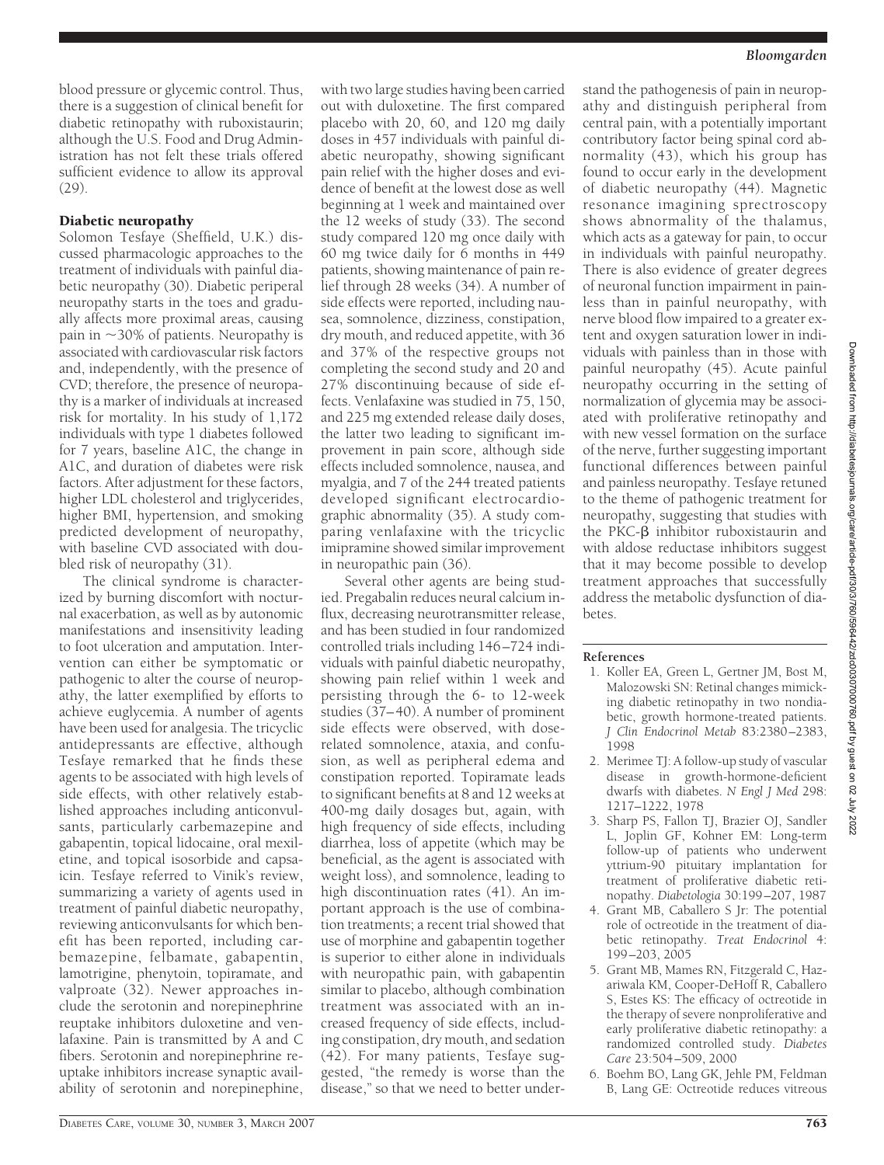blood pressure or glycemic control. Thus, there is a suggestion of clinical benefit for diabetic retinopathy with ruboxistaurin; although the U.S. Food and Drug Administration has not felt these trials offered sufficient evidence to allow its approval (29).

# Diabetic neuropathy

Solomon Tesfaye (Sheffield, U.K.) discussed pharmacologic approaches to the treatment of individuals with painful diabetic neuropathy (30). Diabetic periperal neuropathy starts in the toes and gradually affects more proximal areas, causing pain in 30% of patients. Neuropathy is associated with cardiovascular risk factors and, independently, with the presence of CVD; therefore, the presence of neuropathy is a marker of individuals at increased risk for mortality. In his study of 1,172 individuals with type 1 diabetes followed for 7 years, baseline A1C, the change in A1C, and duration of diabetes were risk factors. After adjustment for these factors, higher LDL cholesterol and triglycerides, higher BMI, hypertension, and smoking predicted development of neuropathy, with baseline CVD associated with doubled risk of neuropathy (31).

The clinical syndrome is characterized by burning discomfort with nocturnal exacerbation, as well as by autonomic manifestations and insensitivity leading to foot ulceration and amputation. Intervention can either be symptomatic or pathogenic to alter the course of neuropathy, the latter exemplified by efforts to achieve euglycemia. A number of agents have been used for analgesia. The tricyclic antidepressants are effective, although Tesfaye remarked that he finds these agents to be associated with high levels of side effects, with other relatively established approaches including anticonvulsants, particularly carbemazepine and gabapentin, topical lidocaine, oral mexiletine, and topical isosorbide and capsaicin. Tesfaye referred to Vinik's review, summarizing a variety of agents used in treatment of painful diabetic neuropathy, reviewing anticonvulsants for which benefit has been reported, including carbemazepine, felbamate, gabapentin, lamotrigine, phenytoin, topiramate, and valproate (32). Newer approaches include the serotonin and norepinephrine reuptake inhibitors duloxetine and venlafaxine. Pain is transmitted by A and C fibers. Serotonin and norepinephrine reuptake inhibitors increase synaptic availability of serotonin and norepinephine,

with two large studies having been carried out with duloxetine. The first compared placebo with 20, 60, and 120 mg daily doses in 457 individuals with painful diabetic neuropathy, showing significant pain relief with the higher doses and evidence of benefit at the lowest dose as well beginning at 1 week and maintained over the 12 weeks of study (33). The second study compared 120 mg once daily with 60 mg twice daily for 6 months in 449 patients, showing maintenance of pain relief through 28 weeks (34). A number of side effects were reported, including nausea, somnolence, dizziness, constipation, dry mouth, and reduced appetite, with 36 and 37% of the respective groups not completing the second study and 20 and 27% discontinuing because of side effects. Venlafaxine was studied in 75, 150, and 225 mg extended release daily doses, the latter two leading to significant improvement in pain score, although side effects included somnolence, nausea, and myalgia, and 7 of the 244 treated patients developed significant electrocardiographic abnormality (35). A study comparing venlafaxine with the tricyclic imipramine showed similar improvement in neuropathic pain (36).

Several other agents are being studied. Pregabalin reduces neural calcium influx, decreasing neurotransmitter release, and has been studied in four randomized controlled trials including 146–724 individuals with painful diabetic neuropathy, showing pain relief within 1 week and persisting through the 6- to 12-week studies (37–40). A number of prominent side effects were observed, with doserelated somnolence, ataxia, and confusion, as well as peripheral edema and constipation reported. Topiramate leads to significant benefits at 8 and 12 weeks at 400-mg daily dosages but, again, with high frequency of side effects, including diarrhea, loss of appetite (which may be beneficial, as the agent is associated with weight loss), and somnolence, leading to high discontinuation rates (41). An important approach is the use of combination treatments; a recent trial showed that use of morphine and gabapentin together is superior to either alone in individuals with neuropathic pain, with gabapentin similar to placebo, although combination treatment was associated with an increased frequency of side effects, including constipation, dry mouth, and sedation (42). For many patients, Tesfaye suggested, "the remedy is worse than the disease," so that we need to better understand the pathogenesis of pain in neuropathy and distinguish peripheral from central pain, with a potentially important contributory factor being spinal cord abnormality (43), which his group has found to occur early in the development of diabetic neuropathy (44). Magnetic resonance imagining sprectroscopy shows abnormality of the thalamus, which acts as a gateway for pain, to occur in individuals with painful neuropathy. There is also evidence of greater degrees of neuronal function impairment in painless than in painful neuropathy, with nerve blood flow impaired to a greater extent and oxygen saturation lower in individuals with painless than in those with painful neuropathy (45). Acute painful neuropathy occurring in the setting of normalization of glycemia may be associated with proliferative retinopathy and with new vessel formation on the surface of the nerve, further suggesting important functional differences between painful and painless neuropathy. Tesfaye retuned to the theme of pathogenic treatment for neuropathy, suggesting that studies with the PKC-B inhibitor ruboxistaurin and with aldose reductase inhibitors suggest that it may become possible to develop treatment approaches that successfully address the metabolic dysfunction of diabetes.

### **References**

- 1. Koller EA, Green L, Gertner JM, Bost M, Malozowski SN: Retinal changes mimicking diabetic retinopathy in two nondiabetic, growth hormone-treated patients. *J Clin Endocrinol Metab* 83:2380–2383, 1998
- 2. Merimee TJ: A follow-up study of vascular disease in growth-hormone-deficient dwarfs with diabetes. *N Engl J Med* 298: 1217–1222, 1978
- 3. Sharp PS, Fallon TJ, Brazier OJ, Sandler L, Joplin GF, Kohner EM: Long-term follow-up of patients who underwent yttrium-90 pituitary implantation for treatment of proliferative diabetic retinopathy. *Diabetologia* 30:199–207, 1987
- 4. Grant MB, Caballero S Jr: The potential role of octreotide in the treatment of diabetic retinopathy. *Treat Endocrinol* 4: 199–203, 2005
- 5. Grant MB, Mames RN, Fitzgerald C, Hazariwala KM, Cooper-DeHoff R, Caballero S, Estes KS: The efficacy of octreotide in the therapy of severe nonproliferative and early proliferative diabetic retinopathy: a randomized controlled study. *Diabetes Care* 23:504–509, 2000
- 6. Boehm BO, Lang GK, Jehle PM, Feldman B, Lang GE: Octreotide reduces vitreous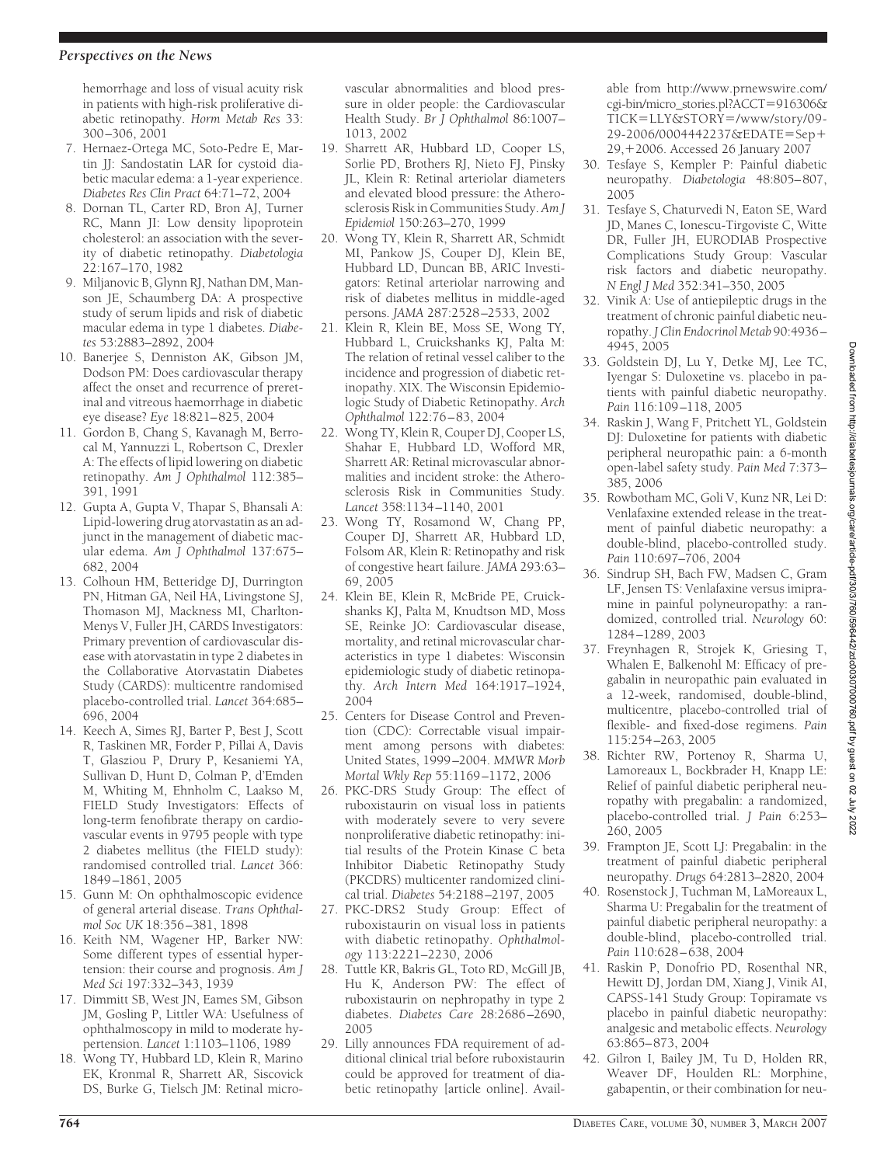### *Perspectives on the News*

hemorrhage and loss of visual acuity risk in patients with high-risk proliferative diabetic retinopathy. *Horm Metab Res* 33: 300–306, 2001

- 7. Hernaez-Ortega MC, Soto-Pedre E, Martin JJ: Sandostatin LAR for cystoid diabetic macular edema: a 1-year experience. *Diabetes Res Clin Pract* 64:71–72, 2004
- 8. Dornan TL, Carter RD, Bron AJ, Turner RC, Mann JI: Low density lipoprotein cholesterol: an association with the severity of diabetic retinopathy. *Diabetologia* 22:167–170, 1982
- 9. Miljanovic B, Glynn RJ, Nathan DM, Manson JE, Schaumberg DA: A prospective study of serum lipids and risk of diabetic macular edema in type 1 diabetes. *Diabetes* 53:2883–2892, 2004
- 10. Banerjee S, Denniston AK, Gibson JM, Dodson PM: Does cardiovascular therapy affect the onset and recurrence of preretinal and vitreous haemorrhage in diabetic eye disease? *Eye* 18:821–825, 2004
- 11. Gordon B, Chang S, Kavanagh M, Berrocal M, Yannuzzi L, Robertson C, Drexler A: The effects of lipid lowering on diabetic retinopathy. *Am J Ophthalmol* 112:385– 391, 1991
- 12. Gupta A, Gupta V, Thapar S, Bhansali A: Lipid-lowering drug atorvastatin as an adjunct in the management of diabetic macular edema. *Am J Ophthalmol* 137:675– 682, 2004
- 13. Colhoun HM, Betteridge DJ, Durrington PN, Hitman GA, Neil HA, Livingstone SJ, Thomason MJ, Mackness MI, Charlton-Menys V, Fuller JH, CARDS Investigators: Primary prevention of cardiovascular disease with atorvastatin in type 2 diabetes in the Collaborative Atorvastatin Diabetes Study (CARDS): multicentre randomised placebo-controlled trial. *Lancet* 364:685– 696, 2004
- 14. Keech A, Simes RJ, Barter P, Best J, Scott R, Taskinen MR, Forder P, Pillai A, Davis T, Glasziou P, Drury P, Kesaniemi YA, Sullivan D, Hunt D, Colman P, d'Emden M, Whiting M, Ehnholm C, Laakso M, FIELD Study Investigators: Effects of long-term fenofibrate therapy on cardiovascular events in 9795 people with type 2 diabetes mellitus (the FIELD study): randomised controlled trial. *Lancet* 366: 1849–1861, 2005
- 15. Gunn M: On ophthalmoscopic evidence of general arterial disease. *Trans Ophthalmol Soc UK* 18:356–381, 1898
- 16. Keith NM, Wagener HP, Barker NW: Some different types of essential hypertension: their course and prognosis. *Am J Med Sci* 197:332–343, 1939
- 17. Dimmitt SB, West JN, Eames SM, Gibson JM, Gosling P, Littler WA: Usefulness of ophthalmoscopy in mild to moderate hypertension. *Lancet* 1:1103–1106, 1989
- 18. Wong TY, Hubbard LD, Klein R, Marino EK, Kronmal R, Sharrett AR, Siscovick DS, Burke G, Tielsch JM: Retinal micro-

vascular abnormalities and blood pressure in older people: the Cardiovascular Health Study. *Br J Ophthalmol* 86:1007– 1013, 2002

- 19. Sharrett AR, Hubbard LD, Cooper LS, Sorlie PD, Brothers RJ, Nieto FJ, Pinsky JL, Klein R: Retinal arteriolar diameters and elevated blood pressure: the Atherosclerosis Risk in Communities Study. *Am J Epidemiol* 150:263–270, 1999
- 20. Wong TY, Klein R, Sharrett AR, Schmidt MI, Pankow JS, Couper DJ, Klein BE, Hubbard LD, Duncan BB, ARIC Investigators: Retinal arteriolar narrowing and risk of diabetes mellitus in middle-aged persons. *JAMA* 287:2528–2533, 2002
- 21. Klein R, Klein BE, Moss SE, Wong TY, Hubbard L, Cruickshanks KJ, Palta M: The relation of retinal vessel caliber to the incidence and progression of diabetic retinopathy. XIX. The Wisconsin Epidemiologic Study of Diabetic Retinopathy. *Arch Ophthalmol* 122:76–83, 2004
- 22. Wong TY, Klein R, Couper DJ, Cooper LS, Shahar E, Hubbard LD, Wofford MR, Sharrett AR: Retinal microvascular abnormalities and incident stroke: the Atherosclerosis Risk in Communities Study. *Lancet* 358:1134–1140, 2001
- 23. Wong TY, Rosamond W, Chang PP, Couper DJ, Sharrett AR, Hubbard LD, Folsom AR, Klein R: Retinopathy and risk of congestive heart failure. *JAMA* 293:63– 69, 2005
- 24. Klein BE, Klein R, McBride PE, Cruickshanks KJ, Palta M, Knudtson MD, Moss SE, Reinke JO: Cardiovascular disease, mortality, and retinal microvascular characteristics in type 1 diabetes: Wisconsin epidemiologic study of diabetic retinopathy. *Arch Intern Med* 164:1917–1924, 2004
- 25. Centers for Disease Control and Prevention (CDC): Correctable visual impairment among persons with diabetes: United States, 1999–2004. *MMWR Morb Mortal Wkly Rep* 55:1169–1172, 2006
- 26. PKC-DRS Study Group: The effect of ruboxistaurin on visual loss in patients with moderately severe to very severe nonproliferative diabetic retinopathy: initial results of the Protein Kinase C beta Inhibitor Diabetic Retinopathy Study (PKCDRS) multicenter randomized clinical trial. *Diabetes* 54:2188–2197, 2005
- 27. PKC-DRS2 Study Group: Effect of ruboxistaurin on visual loss in patients with diabetic retinopathy. *Ophthalmology* 113:2221–2230, 2006
- 28. Tuttle KR, Bakris GL, Toto RD, McGill JB, Hu K, Anderson PW: The effect of ruboxistaurin on nephropathy in type 2 diabetes. *Diabetes Care* 28:2686–2690, 2005
- 29. Lilly announces FDA requirement of additional clinical trial before ruboxistaurin could be approved for treatment of diabetic retinopathy [article online]. Avail-

able from http://www.prnewswire.com/ cgi-bin/micro\_stories.pl?ACCT 916306& TICK=LLY&STORY=/www/story/09-29-2006/0004442237&EDATE Sep 29, +2006. Accessed 26 January 2007

- 30. Tesfaye S, Kempler P: Painful diabetic neuropathy. *Diabetologia* 48:805–807, 2005
- 31. Tesfaye S, Chaturvedi N, Eaton SE, Ward JD, Manes C, Ionescu-Tirgoviste C, Witte DR, Fuller JH, EURODIAB Prospective Complications Study Group: Vascular risk factors and diabetic neuropathy. *N Engl J Med* 352:341–350, 2005
- 32. Vinik A: Use of antiepileptic drugs in the treatment of chronic painful diabetic neuropathy. *J Clin Endocrinol Metab* 90:4936– 4945, 2005
- 33. Goldstein DJ, Lu Y, Detke MJ, Lee TC, Iyengar S: Duloxetine vs. placebo in patients with painful diabetic neuropathy. *Pain* 116:109–118, 2005
- 34. Raskin J, Wang F, Pritchett YL, Goldstein DJ: Duloxetine for patients with diabetic peripheral neuropathic pain: a 6-month open-label safety study. *Pain Med* 7:373– 385, 2006
- 35. Rowbotham MC, Goli V, Kunz NR, Lei D: Venlafaxine extended release in the treatment of painful diabetic neuropathy: a double-blind, placebo-controlled study. *Pain* 110:697–706, 2004
- 36. Sindrup SH, Bach FW, Madsen C, Gram LF, Jensen TS: Venlafaxine versus imipramine in painful polyneuropathy: a randomized, controlled trial. *Neurology* 60: 1284–1289, 2003
- 37. Freynhagen R, Strojek K, Griesing T, Whalen E, Balkenohl M: Efficacy of pregabalin in neuropathic pain evaluated in a 12-week, randomised, double-blind, multicentre, placebo-controlled trial of flexible- and fixed-dose regimens. *Pain* 115:254–263, 2005
- 38. Richter RW, Portenoy R, Sharma U, Lamoreaux L, Bockbrader H, Knapp LE: Relief of painful diabetic peripheral neuropathy with pregabalin: a randomized, placebo-controlled trial. *J Pain* 6:253– 260, 2005
- 39. Frampton JE, Scott LJ: Pregabalin: in the treatment of painful diabetic peripheral neuropathy. *Drugs* 64:2813–2820, 2004
- 40. Rosenstock J, Tuchman M, LaMoreaux L, Sharma U: Pregabalin for the treatment of painful diabetic peripheral neuropathy: a double-blind, placebo-controlled trial. *Pain* 110:628–638, 2004
- 41. Raskin P, Donofrio PD, Rosenthal NR, Hewitt DJ, Jordan DM, Xiang J, Vinik AI, CAPSS-141 Study Group: Topiramate vs placebo in painful diabetic neuropathy: analgesic and metabolic effects. *Neurology* 63:865–873, 2004
- 42. Gilron I, Bailey JM, Tu D, Holden RR, Weaver DF, Houlden RL: Morphine, gabapentin, or their combination for neu-